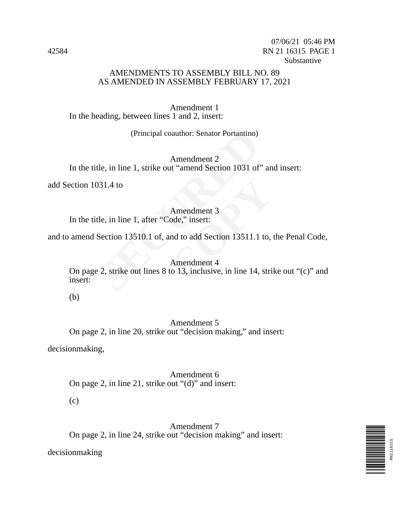## AMENDMENTS TO ASSEMBLY BILL NO. 89 AS AMENDED IN ASSEMBLY FEBRUARY 17, 2021

Amendment 1 In the heading, between lines 1 and 2, insert:

(Principal coauthor: Senator Portantino)

Amendment 2 In the title, in line 1, strike out "amend Section 1031 of" and insert:

add Section 1031.4 to

#### Amendment 3

In the title, in line 1, after "Code," insert:

and to amend Section 13510.1 of, and to add Section 13511.1 to, the Penal Code,

# Amendment 4

(Principal coauthor: Senator Portantino)<br>
Amendment 2<br>
tle, in line 1, strike out "amend Section 1031 of"<br>
31.4 to<br>
Amendment 3<br>
tle, in line 1, after "Code," insert:<br>
Section 13510.1 of, and to add Section 13511.1<br>
Amendm Amendment 3<br>
'ode," insert:<br>
und to add Section 13511.1 to,<br>
Amendment 4<br>
to 13, inclusive, in line 14, stri On page 2, strike out lines 8 to 13, inclusive, in line 14, strike out "(c)" and insert:

(b)

## Amendment 5

On page 2, in line 20, strike out "decision making," and insert:

decisionmaking,

Amendment 6 On page 2, in line 21, strike out "(d)" and insert:

(c)

Amendment 7 On page 2, in line 24, strike out "decision making" and insert:

decisionmaking

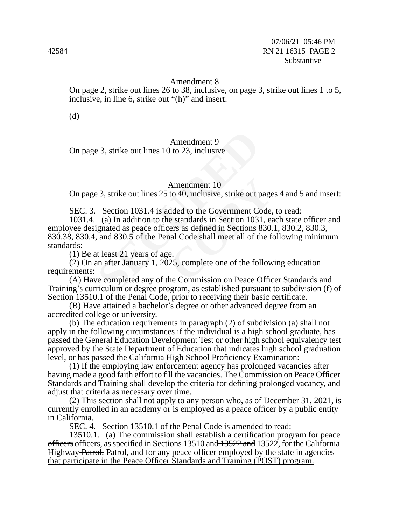#### Amendment 8

On page 2, strike out lines 26 to 38, inclusive, on page 3, strike out lines 1 to 5, inclusive, in line 6, strike out "(h)" and insert:

(d)

### Amendment 9

On page 3, strike out lines 10 to 23, inclusive

#### Amendment 10

On page 3, strike out lines 25 to 40, inclusive, strike out pages 4 and 5 and insert:

SEC. 3. Section 1031.4 is added to the Government Code, to read:

Amendment 9<br>
3, strike out lines 10 to 23, inclusive<br>
Amendment 10<br>
23, strike out lines 25 to 40, inclusive, strike out p<br>
Section 1031.4 is added to the Government Co<br>
(a) In addition to the standards in Section 103<br>
ign Amendment 10<br>to 40, inclusive, strike out page<br>dded to the Government Code,<br>e standards in Section 1031, ea<br>ers as defined in Sections 830.<br>nal Code shall meet all of the fe<br>e.<br>25, complete one of the follow<br>he Commission 1031.4. (a) In addition to the standards in Section 1031, each state officer and employee designated as peace officers as defined in Sections 830.1, 830.2, 830.3, 830.38, 830.4, and 830.5 of the Penal Code shall meet all of the following minimum standards:

(1) Be at least 21 years of age.

(2) On an after January 1, 2025, complete one of the following education requirements:

(A) Have completed any of the Commission on Peace Officer Standards and Training's curriculum or degree program, as established pursuant to subdivision (f) of Section 13510.1 of the Penal Code, prior to receiving their basic certificate.

(B) Have attained a bachelor's degree or other advanced degree from an accredited college or university.

(b) The education requirements in paragraph (2) of subdivision (a) shall not apply in the following circumstances if the individual is a high school graduate, has passed the General Education Development Test or other high school equivalency test approved by the State Department of Education that indicates high school graduation level, or has passed the California High School Proficiency Examination:

(1) If the employing law enforcement agency has prolonged vacancies after having made a good faith effort to fill the vacancies. The Commission on Peace Officer Standards and Training shall develop the criteria for defining prolonged vacancy, and adjust that criteria as necessary over time.

(2) This section shall not apply to any person who, as of December 31, 2021, is currently enrolled in an academy or is employed as a peace officer by a public entity in California.

SEC. 4. Section 13510.1 of the Penal Code is amended to read:

13510.1. (a) The commission shall establish a certification program for peace officers officers, as specified in Sections 13510 and 13522 and 13522, for the California Highway Patrol. Patrol, and for any peace officer employed by the state in agencies that participate in the Peace Officer Standards and Training (POST) program.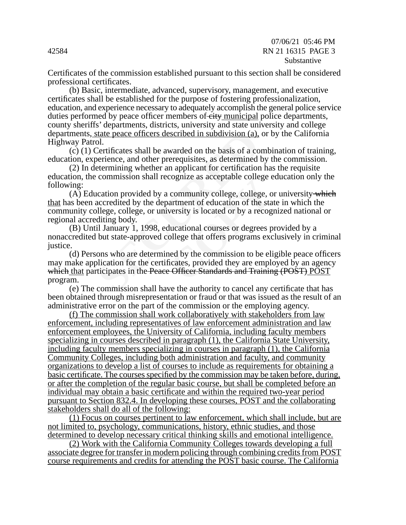Certificates of the commission established pursuant to this section shall be considered professional certificates.

(b) Basic, intermediate, advanced, supervisory, management, and executive certificates shall be established for the purpose of fostering professionalization, education, and experience necessary to adequately accomplish the general police service duties performed by peace officer members of eity municipal police departments, county sheriffs' departments, districts, university and state university and college departments, state peace officers described in subdivision (a), or by the California Highway Patrol.

(c) (1) Certificates shall be awarded on the basis of a combination of training, education, experience, and other prerequisites, as determined by the commission.

(2) In determining whether an applicant for certification has the requisite education, the commission shall recognize as acceptable college education only the following:

state peace officers described in subdivision (a),<br>ol.<br>Certificates shall be awarded on the basis of a co<br>berience, and other prerequisites, as determined<br>etermining whether an applicant for certification<br>commission shall community college, college, of community college, college, of artment of education of the standards versity is located or by a recognulational courses or degrees pollege that offers programs exceed by the commission to be  $(A)$  Education provided by a community college, college, or university which that has been accredited by the department of education of the state in which the community college, college, or university is located or by a recognized national or regional accrediting body.

(B) Until January 1, 1998, educational courses or degrees provided by a nonaccredited but state-approved college that offers programs exclusively in criminal justice.

(d) Persons who are determined by the commission to be eligible peace officers may make application for the certificates, provided they are employed by an agency which that participates in the Peace Officer Standards and Training (POST) POST program.

(e) The commission shall have the authority to cancel any certificate that has been obtained through misrepresentation or fraud or that was issued as the result of an administrative error on the part of the commission or the employing agency.

(f) The commission shall work collaboratively with stakeholders from law enforcement, including representatives of law enforcement administration and law enforcement employees, the University of California, including faculty members specializing in courses described in paragraph (1), the California State University, including faculty members specializing in courses in paragraph (1), the California Community Colleges, including both administration and faculty, and community organizations to develop a list of courses to include as requirements for obtaining a basic certificate. The courses specified by the commission may be taken before, during, or after the completion of the regular basic course, but shall be completed before an individual may obtain a basic certificate and within the required two-year period pursuant to Section 832.4. In developing these courses, POST and the collaborating stakeholders shall do all of the following:

(1) Focus on courses pertinent to law enforcement, which shall include, but are not limited to, psychology, communications, history, ethnic studies, and those determined to develop necessary critical thinking skills and emotional intelligence.

(2) Work with the California Community Colleges towards developing a full associate degree for transfer in modern policing through combining credits from POST course requirements and credits for attending the POST basic course. The California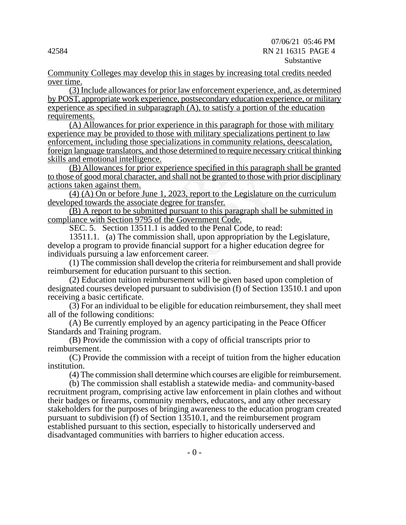Community Colleges may develop this in stages by increasing total credits needed over time.

(3) Include allowances for prior law enforcement experience, and, as determined by POST, appropriate work experience, postsecondary education experience, or military experience as specified in subparagraph (A), to satisfy a portion of the education requirements.

including those specialization in community reportation<br>cluding those specializations in community re-<br>ge translators, and those determined to require ne-<br>tional intelligence.<br>wances for prior experience specified in this (A) Allowances for prior experience in this paragraph for those with military experience may be provided to those with military specializations pertinent to law enforcement, including those specializations in community relations, deescalation, foreign language translators, and those determined to require necessary critical thinking skills and emotional intelligence.

(B) Allowances for prior experience specified in this paragraph shall be granted to those of good moral character, and shall not be granted to those with prior disciplinary actions taken against them.

(4) (A) On or before June 1, 2023, report to the Legislature on the curriculum developed towards the associate degree for transfer.

(B) A report to be submitted pursuant to this paragraph shall be submitted in compliance with Section 9795 of the Government Code.

SEC. 5. Section 13511.1 is added to the Penal Code, to read:

2023, report to the Legislature<br>
<u>2023, report to the Legislature</u><br>
<u>gree for transfer.</u><br>
pursuant to this paragraph shale<br>
added to the Penal Code, to rea<br>
added to the Penal Code, to rea<br>
on shall, upon appropriation by<br> 13511.1. (a) The commission shall, upon appropriation by the Legislature, develop a program to provide financial support for a higher education degree for individuals pursuing a law enforcement career.

(1) The commission shall develop the criteria for reimbursement and shall provide reimbursement for education pursuant to this section.

(2) Education tuition reimbursement will be given based upon completion of designated courses developed pursuant to subdivision (f) of Section 13510.1 and upon receiving a basic certificate.

(3) For an individual to be eligible for education reimbursement, they shall meet all of the following conditions:

(A) Be currently employed by an agency participating in the Peace Officer Standards and Training program.

(B) Provide the commission with a copy of official transcripts prior to reimbursement.

(C) Provide the commission with a receipt of tuition from the higher education institution.

(4) The commission shall determine which courses are eligible for reimbursement.

(b) The commission shall establish a statewide media- and community-based recruitment program, comprising active law enforcement in plain clothes and without their badges or firearms, community members, educators, and any other necessary stakeholders for the purposes of bringing awareness to the education program created pursuant to subdivision (f) of Section 13510.1, and the reimbursement program established pursuant to this section, especially to historically underserved and disadvantaged communities with barriers to higher education access.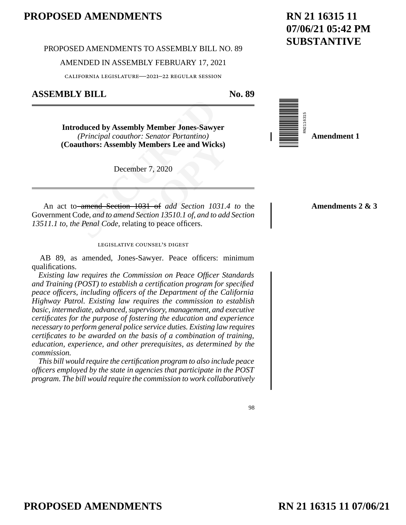#### PROPOSED AMENDMENTS TO ASSEMBLY BILL NO. 89

#### AMENDED IN ASSEMBLY FEBRUARY 17, 2021

california legislature—2021–22 regular session

# **ASSEMBLY BILL No. 89**

**Coduced by Assembly Member Jones-Sawy**<br>
(*Principal coauthor: Senator Portantino*)<br> **authors: Assembly Members Lee and Wick**<br>
December 7, 2020<br>
December 7, 2020<br>
December 7, 2020<br>
December 7, 2020<br>
December 7, 2020<br>
Decem **Introduced by Assembly Member Jones-Sawyer**  *(Principal coauthor: Senator Portantino)* **(Coauthors: Assembly Members Lee and Wicks)** 

December 7, 2020

RN2116315 **Amendment 1**

**Amendments 2 & 3**

**Members Lee and Wicks)**<br>ber 7, 2020<br>**COPY**<br>**COPY**<br>**COPY**<br>**COPY**<br>**COPY**<br>**COPY**<br>**COPY**<br>**COPY**<br>**COPY**<br>**COPY**<br>**COPY**<br>**COPY**<br>**COPY**<br>**COPY**<br>**COPY**<br>**COPY**<br>**COPY**<br>**COPY**<br>**COPY**<br>**COPY**<br>**COPY**<br>**COPY**<br>**COPY**<br>**COPY**<br>**COPY**<br>**COPY**<br>**CO** An act to amend Section 1031 of *add Section 1031.4 to* the Government Code, *and to amend Section 13510.1 of, and to add Section 13511.1 to, the Penal Code,* relating to peace officers.

#### legislative counsel's digest

AB 89, as amended, Jones-Sawyer. Peace officers: minimum qualifications.

*Existing law requires the Commission on Peace Officer Standards and Training (POST) to establish a certification program for specified peace officers, including officers of the Department of the California Highway Patrol. Existing law requires the commission to establish basic, intermediate, advanced, supervisory, management, and executive certificates for the purpose of fostering the education and experience necessary to perform general police service duties. Existing law requires certificates to be awarded on the basis of a combination of training, education, experience, and other prerequisites, as determined by the commission.* 

*This bill would require the certification program to also include peace officers employed by the state in agencies that participate in the POST program. The bill would require the commission to work collaboratively* 

### 98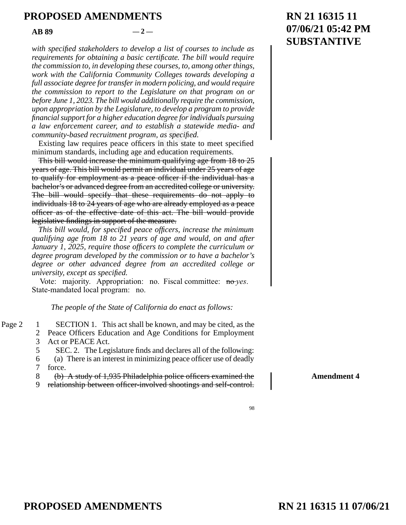**AB 89**  $-2$  —

*with specified stakeholders to develop a list of courses to include as requirements for obtaining a basic certificate. The bill would require the commission to, in developing these courses, to, among other things, work with the California Community Colleges towards developing a full associate degree for transfer in modern policing, and would require the commission to report to the Legislature on that program on or before June 1, 2023. The bill would additionally require the commission, upon appropriation by the Legislature, to develop a program to provide financial support for a higher education degree for individuals pursuing a law enforcement career, and to establish a statewide media- and community-based recruitment program, as specified.* 

Existing law requires peace officers in this state to meet specified minimum standards, including age and education requirements.

2023. The bill would additionally require the ciation by the Legislature, to develop a program<br>
sort for a higher education degree for individual<br>
ement career, and to establish a statewide<br>
ased recruitment program, as s Ficers in this state to meet s<br>ge and education requirement<br>inimum qualifying age from<br>init an individual under 25 year<br>peace officer if the individu<br>m an accredited college or un<br>nese requirements do not a<br>who are already This bill would increase the minimum qualifying age from 18 to 25 years of age. This bill would permit an individual under 25 years of age to qualify for employment as a peace officer if the individual has a bachelor's or advanced degree from an accredited college or university. The bill would specify that these requirements do not apply to individuals 18 to 24 years of age who are already employed as a peace officer as of the effective date of this act. The bill would provide legislative findings in support of the measure.

*This bill would, for specified peace officers, increase the minimum qualifying age from 18 to 21 years of age and would, on and after January 1, 2025, require those officers to complete the curriculum or degree program developed by the commission or to have a bachelor's degree or other advanced degree from an accredited college or university, except as specified.* 

Vote: majority. Appropriation: no. Fiscal committee: no *yes*. State-mandated local program: no.

*The people of the State of California do enact as follows:* 

- SECTION 1. This act shall be known, and may be cited, as the 2 Peace Officers Education and Age Conditions for Employment Act or PEACE Act. Page  $2 \quad 1$ 3
	- SEC. 2. The Legislature finds and declares all of the following: 5

(a) There is an interest in minimizing peace officer use of deadly 6

force. 7

(b) A study of 1,935 Philadelphia police officers examined the 8

relationship between officer-involved shootings and self-control. 9

# **RN 21 16315 11 07/06/21 05:42 PM SUBSTANTIVE**

98

**Amendment 4**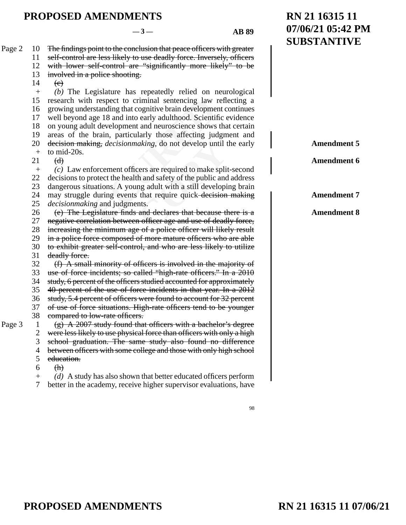**RN 21 16315 11**

**07/06/21 05:42 PM**

**SUBSTANTIVE** with respect to criminal sentencing law is<br>understanding that cognitive brain developme<br>ond age 18 and into early adulthood. Scientif<br>g adult development and neuroscience shows<br>if the brain, particularly those affecting ju *aking*, do not develop until t<br>cers are required to make split<br>h and safety of the public and<br>ng adult with a still developi<br>that require quick-decision<br>nts.<br>and declares that because the<br>notificant of the property of the The findings point to the conclusion that peace officers with greater self-control are less likely to use deadly force. Inversely, officers with lower self-control are "significantly more likely" to be involved in a police shooting.  $\left(\mathrm{e}\right)$ *(b)* The Legislature has repeatedly relied on neurological research with respect to criminal sentencing law reflecting a growing understanding that cognitive brain development continues well beyond age 18 and into early adulthood. Scientific evidence on young adult development and neuroscience shows that certain areas of the brain, particularly those affecting judgment and decision making, *decisionmaking,* do not develop until the early to mid-20s.  $(d)$ *(c)* Law enforcement officers are required to make split-second decisions to protect the health and safety of the public and address dangerous situations. A young adult with a still developing brain may struggle during events that require quick decision making *decisionmaking* and judgments. (e) The Legislature finds and declares that because there is a negative correlation between officer age and use of deadly force, increasing the minimum age of a police officer will likely result in a police force composed of more mature officers who are able to exhibit greater self-control, and who are less likely to utilize deadly force. (f) A small minority of officers is involved in the majority of use of force incidents; so called "high-rate officers." In a 2010 study, 6 percent of the officers studied accounted for approximately 40 percent of the use of force incidents in that year. In a 2012 study, 5.4 percent of officers were found to account for 32 percent of use of force situations. High-rate officers tend to be younger compared to low-rate officers. (g) A 2007 study found that officers with a bachelor's degree were less likely to use physical force than officers with only a high school graduation. The same study also found no difference between officers with some college and those with only high school education.  $(H)$ *(d)* A study has also shown that better educated officers perform better in the academy, receive higher supervisor evaluations, have Page 2 10 11 12 13 14 + 15 16 17 18 19 20 + 21  $+$ 22 23 24 25 26 27 28 29 30 31 32 33 34 35 36 37 38 Page  $3 \t 1$ 2 3 4 5 6  $+$ 7 **Amendment 5 Amendment 6 Amendment 7 Amendment 8**

98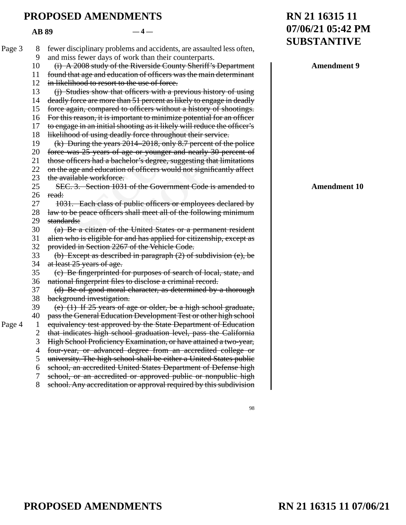**AB 89**  $-4-$ 

|        |    |                                                                         | <b>SUBSTANTIVE</b>  |
|--------|----|-------------------------------------------------------------------------|---------------------|
| Page 3 | 8  | fewer disciplinary problems and accidents, are assaulted less often,    |                     |
|        | 9  | and miss fewer days of work than their counterparts.                    |                     |
|        | 10 | (i) A 2008 study of the Riverside County Sheriff's Department           | <b>Amendment 9</b>  |
|        | 11 | found that age and education of officers was the main determinant       |                     |
|        | 12 | in likelihood to resort to the use of force.                            |                     |
|        | 13 | (j) Studies show that officers with a previous history of using         |                     |
|        | 14 | deadly force are more than 51 percent as likely to engage in deadly     |                     |
|        | 15 | force again, compared to officers without a history of shootings.       |                     |
|        | 16 | For this reason, it is important to minimize potential for an officer   |                     |
|        | 17 | to engage in an initial shooting as it likely will reduce the officer's |                     |
|        | 18 | likelihood of using deadly force throughout their service.              |                     |
|        | 19 | (k) During the years 2014–2018, only 8.7 percent of the police          |                     |
|        | 20 | force was 25 years of age or younger and nearly 30 percent of           |                     |
|        | 21 | those officers had a bachelor's degree, suggesting that limitations     |                     |
|        | 22 | on the age and education of officers would not significantly affect     |                     |
|        | 23 | the available workforce.                                                |                     |
|        | 25 | SEC. 3. Section 1031 of the Government Code is amended to               | <b>Amendment 10</b> |
|        | 26 | read:                                                                   |                     |
|        | 27 | 1031. Each class of public officers or employees declared by            |                     |
|        | 28 | law to be peace officers shall meet all of the following minimum        |                     |
|        | 29 | standards:                                                              |                     |
|        | 30 | (a) Be a citizen of the United States or a permanent resident           |                     |
|        | 31 | alien who is eligible for and has applied for citizenship, except as    |                     |
|        | 32 | provided in Section 2267 of the Vehicle Code.                           |                     |
|        | 33 | (b) Except as described in paragraph $(2)$ of subdivision $(e)$ , be    |                     |
|        | 34 | at least 25 years of age.                                               |                     |
|        | 35 | (e) Be fingerprinted for purposes of search of local, state, and        |                     |
|        | 36 | national fingerprint files to disclose a criminal record.               |                     |
|        | 37 | (d) Be of good moral character, as determined by a thorough             |                     |
|        | 38 | background investigation.                                               |                     |
|        | 39 | (e) $(1)$ If 25 years of age or older, be a high school graduate,       |                     |
|        | 40 | pass the General Education Development Test or other high school        |                     |
| Page 4 |    | equivalency test approved by the State Department of Education          |                     |
|        |    | that indicates high school graduation level, pass the California        |                     |
|        | 3  | High School Proficiency Examination, or have attained a two-year,       |                     |
|        | 4  | four-year, or advanced degree from an accredited college or             |                     |
|        | 5  | university. The high school shall be either a United States public      |                     |
|        | 6  | school, an accredited United States Department of Defense high          |                     |
|        | 7  | school, or an accredited or approved public or nonpublic high           |                     |
|        | 8  | school. Any accreditation or approval required by this subdivision      |                     |
|        |    |                                                                         |                     |

# **PROPOSED AMENDMENTS D** AMENDMENTS **COPY**

98

**RN 21 16315 11**

**07/06/21 05:42 PM**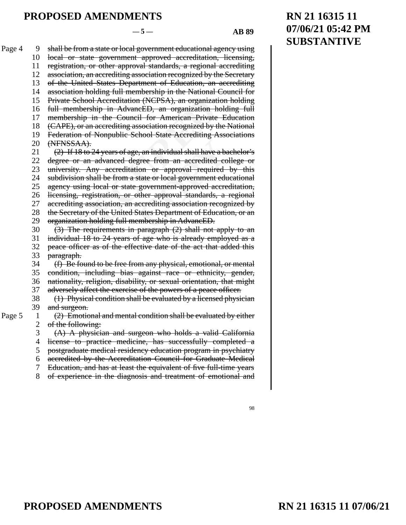School Accreditation (NCPSA), an organizat<br>mbership in AdvancED, an organization h<br>ship in the Council for American Private<br>, or an accrediting association recognized by t<br>on of Nonpublic School State Accrediting A<br>(AA).<br>1 **Example 12**<br> **Conserved Alternative Conserved Alternative Conserved State or local government educator<br>
different approved accretion accretion association recognitions.<br>
<b>COPY**<br> **COPY**<br> **COPY**<br> **COPY**<br> **COPY**<br> **COPY**<br> **CO** shall be from a state or local government educational agency using local or state government approved accreditation, licensing, registration, or other approval standards, a regional accrediting association, an accrediting association recognized by the Secretary of the United States Department of Education, an accrediting association holding full membership in the National Council for Private School Accreditation (NCPSA), an organization holding full membership in AdvancED, an organization holding full membership in the Council for American Private Education (CAPE), or an accrediting association recognized by the National Federation of Nonpublic School State Accrediting Associations (NFNSSAA). (2) If 18 to 24 years of age, an individual shall have a bachelor's degree or an advanced degree from an accredited college or university. Any accreditation or approval required by this subdivision shall be from a state or local government educational agency using local or state government-approved accreditation, licensing, registration, or other approval standards, a regional accrediting association, an accrediting association recognized by the Secretary of the United States Department of Education, or an organization holding full membership in AdvancED. (3) The requirements in paragraph (2) shall not apply to an individual 18 to 24 years of age who is already employed as a peace officer as of the effective date of the act that added this paragraph. (f) Be found to be free from any physical, emotional, or mental condition, including bias against race or ethnicity, gender, nationality, religion, disability, or sexual orientation, that might adversely affect the exercise of the powers of a peace officer. (1) Physical condition shall be evaluated by a licensed physician and surgeon. (2) Emotional and mental condition shall be evaluated by either of the following: (A) A physician and surgeon who holds a valid California license to practice medicine, has successfully completed a 10 11 12 13 14 15 16 17 18 19 20 21 22 23 24 25 26 27 28 29 30 31 32 33 34 35 36 37 38 39 Page  $5 \quad 1$ 2 3 4

> postgraduate medical residency education program in psychiatry 5

> accredited by the Accreditation Council for Graduate Medical 6

> Education, and has at least the equivalent of five full-time years 7

> of experience in the diagnosis and treatment of emotional and 8

#### 98

# Page 4 9

**PROPOSED AMENDMENTS D** AMENDMENTS **COPY** 

# **RN 21 16315 11 07/06/21**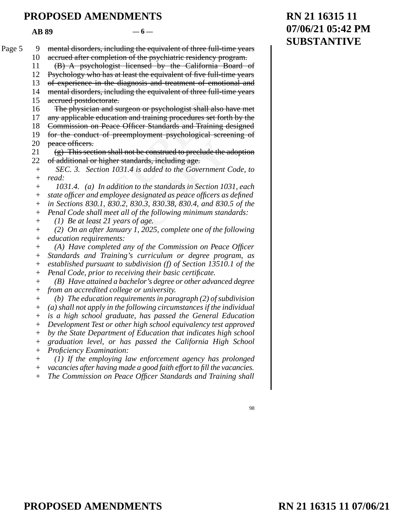$AB 89$   $-6$  —

|        | AD 07              |                                                                        |  |
|--------|--------------------|------------------------------------------------------------------------|--|
| Page 5 | 9                  | mental disorders, including the equivalent of three full-time years    |  |
|        | 10                 | accrued after completion of the psychiatric residency program.         |  |
|        | 11                 | (B) A psychologist licensed by the California Board of                 |  |
|        | 12                 | Psychology who has at least the equivalent of five full-time years     |  |
|        | 13                 | of experience in the diagnosis and treatment of emotional and          |  |
|        | 14                 | mental disorders, including the equivalent of three full-time years    |  |
|        | 15                 | accrued postdoctorate.                                                 |  |
|        | 16                 | The physician and surgeon or psychologist shall also have met          |  |
|        | 17                 | any applicable education and training procedures set forth by the      |  |
|        | 18                 | Commission on Peace Officer Standards and Training designed            |  |
|        | 19                 | for the conduct of preemployment psychological screening of            |  |
|        | 20                 | peace officers.                                                        |  |
|        | 21                 | (g) This section shall not be construed to preclude the adoption       |  |
|        | 22                 | of additional or higher standards, including age.                      |  |
|        | $^{+}$             | SEC. 3. Section 1031.4 is added to the Government Code, to             |  |
|        | $^{+}$             | read:                                                                  |  |
|        |                    | 1031.4. (a) In addition to the standards in Section 1031, each         |  |
|        | $^{+}$             | state officer and employee designated as peace officers as defined     |  |
|        | $^{+}$             | in Sections 830.1, 830.2, 830.3, 830.38, 830.4, and 830.5 of the       |  |
|        | $^{+}$             | Penal Code shall meet all of the following minimum standards:          |  |
|        | $^{+}$             | (1) Be at least 21 years of age.                                       |  |
|        | $\hspace{0.1mm} +$ | (2) On an after January 1, 2025, complete one of the following         |  |
|        | $^{+}$             | <i>education requirements:</i>                                         |  |
|        | $^{+}$             | (A) Have completed any of the Commission on Peace Officer              |  |
|        | $^{+}$             | Standards and Training's curriculum or degree program, as              |  |
|        | $^{+}$             | established pursuant to subdivision $(f)$ of Section 13510.1 of the    |  |
|        | $^{+}$             | Penal Code, prior to receiving their basic certificate.                |  |
|        | $\hspace{0.1mm} +$ | (B) Have attained a bachelor's degree or other advanced degree         |  |
|        | $\! + \!$          | from an accredited college or university.                              |  |
|        | $\! + \!$          | (b) The education requirements in paragraph $(2)$ of subdivision       |  |
|        | $^{+}$             | $(a)$ shall not apply in the following circumstances if the individual |  |
|        | $^{+}$             | is a high school graduate, has passed the General Education            |  |
|        | $^{+}$             | Development Test or other high school equivalency test approved        |  |
|        | $^+$               | by the State Department of Education that indicates high school        |  |
|        | $^{+}$             | graduation level, or has passed the California High School             |  |
|        | $\! + \!$          | Proficiency Examination:                                               |  |
|        | $+$                | (1) If the employing law enforcement agency has prolonged              |  |
|        | $+$                | vacancies after having made a good faith effort to fill the vacancies. |  |
|        | $+$                | The Commission on Peace Officer Standards and Training shall           |  |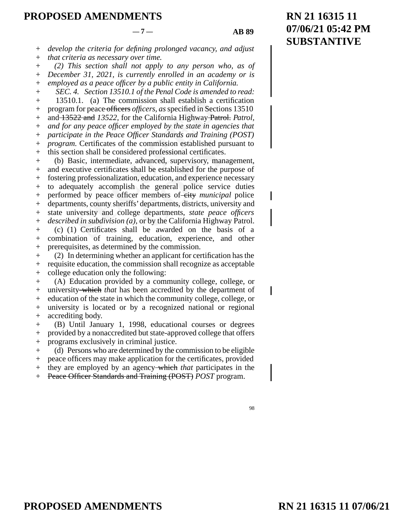# **07/06/21 05:42 PM SUBSTANTIVE**  $-7 -$  **AB 89**

**RN 21 16315 11**

*develop the criteria for defining prolonged vacancy, and adjust that criteria as necessary over time.*  + +

*(2) This section shall not apply to any person who, as of December 31, 2021, is currently enrolled in an academy or is*   $+$ +

*employed as a peace officer by a public entity in California.*   $^{+}$ 

*SEC. 4. Section 13510.1 of the Penal Code is amended to read:* 13510.1. (a) The commission shall establish a certification program for peace officers *officers, as* specified in Sections 13510 + + +

and 13522 and *13522,* for the California Highway Patrol. *Patrol, and for any peace officer employed by the state in agencies that*  + +

*participate in the Peace Officer Standards and Training (POST)*  +

*program.* Certificates of the commission established pursuant to +

this section shall be considered professional certificates.  $+$ 

0.1. (a) The commission shall establish a compressed of ficers, as specified in Sect  $\frac{22}{22}$  and 13522, for the California Highway-Paany peace officer employed by the state in agate in the Peace Officer Standards and commission established pur<br>red professional certificates.<br>advanced, supervisory, mana<br>aall be established for the pure<br>all be established for the pure<br>the general police service<br>the general police service<br>departments, dist (b) Basic, intermediate, advanced, supervisory, management, and executive certificates shall be established for the purpose of fostering professionalization, education, and experience necessary to adequately accomplish the general police service duties performed by peace officer members of-city *municipal* police departments, county sheriffs' departments, districts, university and state university and college departments, *state peace officers described in subdivision (a),* or by the California Highway Patrol. (c) (1) Certificates shall be awarded on the basis of a combination of training, education, experience, and other prerequisites, as determined by the commission. + + +  $+$  $+$ +  $+$ + + + +

(2) In determining whether an applicant for certification has the requisite education, the commission shall recognize as acceptable college education only the following: + + +

(A) Education provided by a community college, college, or university which *that* has been accredited by the department of education of the state in which the community college, college, or university is located or by a recognized national or regional accrediting body. +  $+$  $+$ + +

(B) Until January 1, 1998, educational courses or degrees provided by a nonaccredited but state-approved college that offers programs exclusively in criminal justice. + + +

(d) Persons who are determined by the commission to be eligible peace officers may make application for the certificates, provided  $+$ +

they are employed by an agency which *that* participates in the  $+$ 

Peace Officer Standards and Training (POST) *POST* program. +

<sup>98</sup>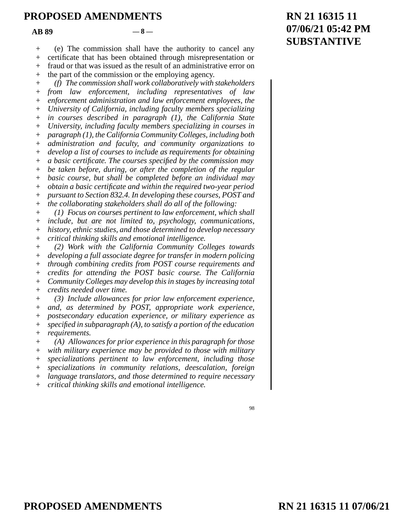$AB 89$   $-8$  —

(e) The commission shall have the authority to cancel any  $+$ 

certificate that has been obtained through misrepresentation or  $+$ 

fraud or that was issued as the result of an administrative error on +

the part of the commission or the employing agency. +

ment administration and law enforcement empty of California, including faculty members ses described in paragraph (1), the California faculty members specializing in the California Community Colleges, incration and faculty France as requirements for original<br>
France as requirements for origins<br>
<u>Consectified</u> by the commiss<br>
Setter the completion of the<br>
Completed before an individent<br>
Completed before an individent<br>
Completed before an indi *(f) The commission shall work collaboratively with stakeholders from law enforcement, including representatives of law enforcement administration and law enforcement employees, the University of California, including faculty members specializing in courses described in paragraph (1), the California State University, including faculty members specializing in courses in paragraph (1), the California Community Colleges, including both administration and faculty, and community organizations to develop a list of courses to include as requirements for obtaining a basic certificate. The courses specified by the commission may be taken before, during, or after the completion of the regular basic course, but shall be completed before an individual may obtain a basic certificate and within the required two-year period pursuant to Section 832.4. In developing these courses, POST and the collaborating stakeholders shall do all of the following: (1) Focus on courses pertinent to law enforcement, which shall include, but are not limited to, psychology, communications,*   $^{+}$ + + + +  $+$  $+$ +  $+$ + + + + + +  $+$ +

*history, ethnic studies, and those determined to develop necessary critical thinking skills and emotional intelligence.*  + +

*(2) Work with the California Community Colleges towards developing a full associate degree for transfer in modern policing through combining credits from POST course requirements and credits for attending the POST basic course. The California Community Colleges may develop this in stages by increasing total credits needed over time.*   $+$  $+$ +  $+$ +  $+$ 

*(3) Include allowances for prior law enforcement experience, and, as determined by POST, appropriate work experience, postsecondary education experience, or military experience as specified in subparagraph (A), to satisfy a portion of the education requirements.*  + + + + +

*(A) Allowances for prior experience in this paragraph for those with military experience may be provided to those with military specializations pertinent to law enforcement, including those specializations in community relations, deescalation, foreign language translators, and those determined to require necessary critical thinking skills and emotional intelligence.*   $+$ + +  $+$ +  $+$ 

98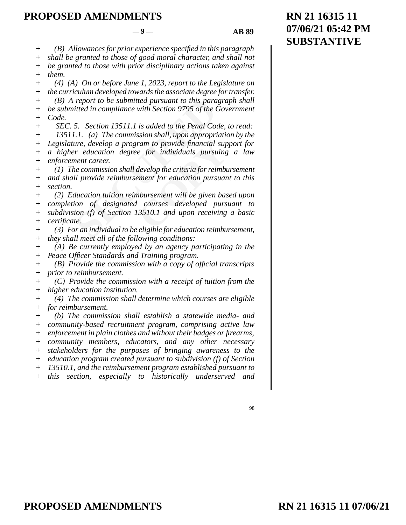*(B) Allowances for prior experience specified in this paragraph*   $+$ 

*shall be granted to those of good moral character, and shall not be granted to those with prior disciplinary actions taken against*   $+$ +

*them.*   $+$ 

*(4) (A) On or before June 1, 2023, report to the Legislature on the curriculum developed towards the associate degree for transfer. (B) A report to be submitted pursuant to this paragraph shall be submitted in compliance with Section 9795 of the Government Code.*   $+$ + + +

report to be submitted pursuant to this para<br>itted in compliance with Section 9795 of the C<br>5. Section 13511.1 is added to the Penal Coa<br>1.1. (a) The commission shall, upon appropri<br>ure, develop a program to provide financ *SEC. 5. Section 13511.1 is added to the Penal Code, to read: 13511.1. (a) The commission shall, upon appropriation by the Legislature, develop a program to provide financial support for a higher education degree for individuals pursuing a law enforcement career.*  +  $+$  $+$ +  $+$ +

*(1) The commission shall develop the criteria for reimbursement and shall provide reimbursement for education pursuant to this section.*  + + +

ram to provide financial sup<br>
e for individuals pursuing<br>
develop the criteria for reimbu<br>
ement for education pursuan<br>
nbursement will be given bas<br>
Courses developed pursu<br>
13510.1 and upon receiving<br>
cligible for educat *(2) Education tuition reimbursement will be given based upon completion of designated courses developed pursuant to subdivision (f) of Section 13510.1 and upon receiving a basic certificate.*   $+$ + + +

*(3) For an individual to be eligible for education reimbursement, they shall meet all of the following conditions:*   $+$ +

*(A) Be currently employed by an agency participating in the Peace Officer Standards and Training program.*   $+$ +

*(B) Provide the commission with a copy of official transcripts prior to reimbursement.*  +  $+$ 

*(C) Provide the commission with a receipt of tuition from the higher education institution.*  +  $+$ 

*(4) The commission shall determine which courses are eligible for reimbursement.*  + +

*(b) The commission shall establish a statewide media- and community-based recruitment program, comprising active law enforcement in plain clothes and without their badges or firearms, community members, educators, and any other necessary stakeholders for the purposes of bringing awareness to the education program created pursuant to subdivision (f) of Section 13510.1, and the reimbursement program established pursuant to this section, especially to historically underserved and*  + +  $+$  $+$ +  $+$  $+$ +

98